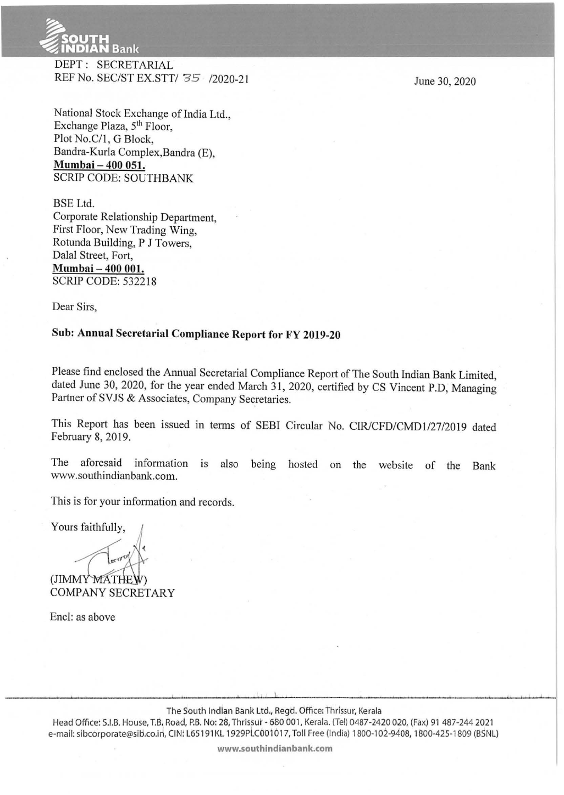

DEPT: SECRETARIAL REF No. SEC/ST EX.STT/ 35 /2020-21

June 30, 2020

National Stock Exchange of India Ltd., Exchange Plaza, 5<sup>th</sup> Floor, Plot No.C/1, G Block, Bandra-Kurla Complex,Bandra (E), **Mumbai- 400 051.**  SCRlP CODE: SOUTHBANK

BSE Ltd. Corporate Relationship Department, First Floor, New Trading Wing, Rotunda Building, P J Towers, Dalal Street, Fort, **Mumbai- 400 001.**  SCRlP CODE: 532218

Dear Sirs,

# **Sub: Annual Secretarial Compliance Report for FY 2019-20**

Please find enclosed the Annual Secretarial Compliance Report of The South Indian Bank Limited, dated June 30, 2020, for the year ended March 31, 2020, certified by CS Vincent P.D, Managing Partner of SVJS & Associates, Company Secretaries.

This Report has been issued in terms of SEBI Circular No. CIR/CFD/CMD1/27/2019 dated February 8, 2019.

The aforesaid information is also being hosted on the website of the Bank www.southindianbank.com.

This is for your information and records.

Yours faithfully,

(JIMMY MATHE COMPANY SECRETARY

Encl: as above

The South Indian Bank Ltd., Regd. Office: Thrissur, Kerala

Head Office: S.I.B. House, T.B. Road, P.B. No: 28, Thrissur - 680 001, Kerala. (Tel) 0487-2420 020, (Fax) 91 487-244 2021 e-mail: sibcorporate@sib.co.in, CIN: L65191KL 1929PLC001017, Toll Free (India) 1800-102-9408, 1800-425-1809 (BSNL)

**www.southindianbank.com**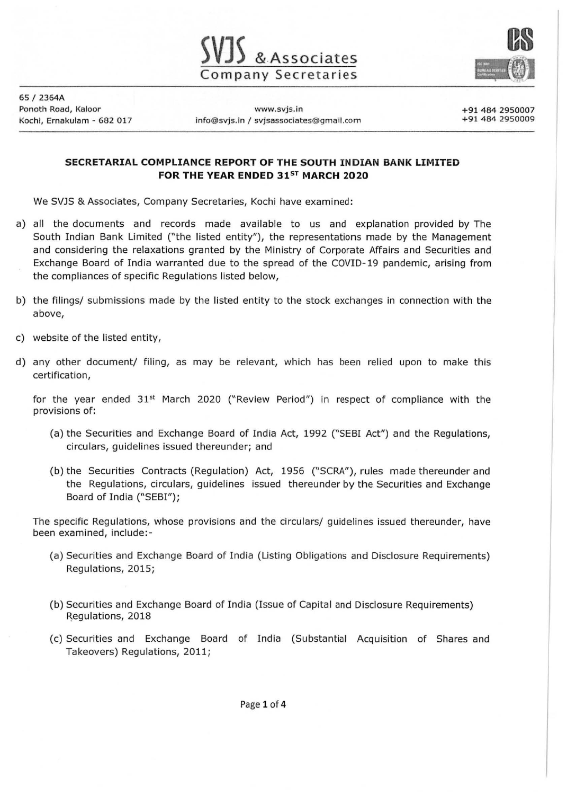



65 / 2364A

Ponoth Road, Kaloor www.svjs.in Kochi, Ernakulam - 682 017 info@svjs.in / svjsassociates@gmail.com +91 484 2950007 +91 484 2950009

## **SECRETARIAL COMPLIANCE REPORT OF THE SOUTH INDIAN BANK LIMITED FOR THE YEAR ENDED 31ST MARCH 2020**

We SVJS & Associates, Company Secretaries, Kochi have examined:

- a) all the documents and records made available to us and explanation provided by The South Indian Bank Limited ("the listed entity"), the representations made by the Management and considering the relaxations granted by the Ministry of Corporate Affairs and Securities and Exchange Board of India warranted due to the spread of the *COVID-19* pandemic, arising from the compliances of specific Regulations listed below,
- b) the filings/ submissions made by the listed entity to the stock exchanges in connection with the above,
- c) website of the listed entity,
- d) any other document/ filing, as may be relevant, which has been relied upon to make this certification,

for the year ended  $31^{st}$  March 2020 ("Review Period") in respect of compliance with the provisions of:

- (a) the Securities and Exchange Board of India Act, 1992 ("SEBI Act") and the Regulations, circulars, guidelines issued thereunder; and
- (b) the Securities Contracts (Regulation) Act, 1956 ("SCRA"), rules made thereunder and the Regulations, circulars, guidelines issued thereunder by the Securities and Exchange Board of India ("SEBI");

The specific Regulations, whose provisions and the circulars/ guidelines issued thereunder, have been examined, include:-

- (a) Securities and Exchange Board of India (Listing Obligations and Disclosure Requirements) Regulations, 2015;
- (b) Securities and Exchange Board of India (Issue of Capital and Disclosure Requirements) Regulations, 2018
- (c) Securities and Exchange Board of India (Substantial Acquisition of Shares and Takeovers) Regulations, 2011;

Page 1 of 4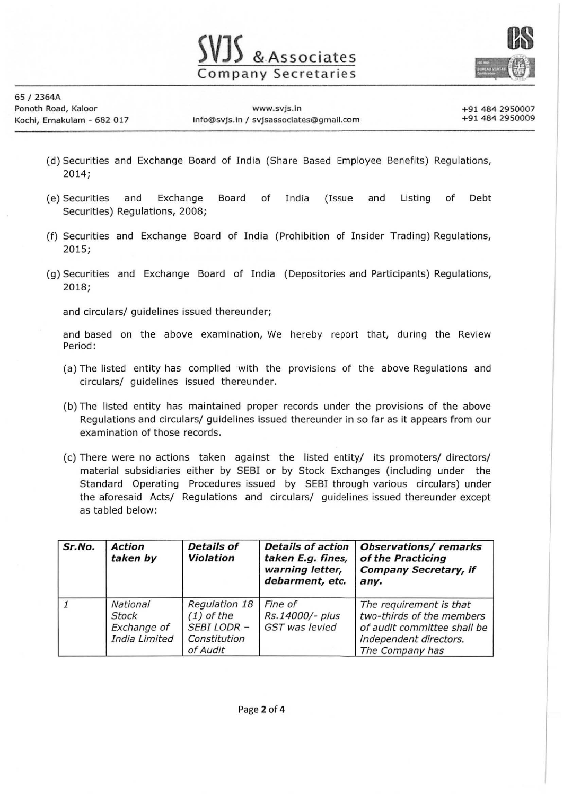

65 / 2364A

- (d) Securities and Exchange Board of India (Share Based Employee Benefits) Regulations, 2014;
- (e) Securities and Exchange Board of India (Issue and Listing of Debt Securities) Regulations, 2008;
- (f) Securities and Exchange Board of India (Prohibition of Insider Trading) Regulations, 2015;
- (g) Securities and Exchange Board of India (Depositories and Participants) Regulations, 2018;

and circulars/ guidelines issued thereunder;

and based on the above examination, We hereby report that, during the Review Period:

- (a) The listed entity has complied with the provisions of the above Regulations and circulars/ guidelines issued thereunder.
- (b) The listed entity has maintained proper records under the provisions of the above Regulations and circulars/ guidelines issued thereunder in so far as it appears from our examination of those records.
- (c) There were no actions taken against the listed entity/ its promoters/ directors/ material subsidiaries either by SEBI or by Stock Exchanges (including under the Standard Operating Procedures issued by SEBI through various circulars) under the aforesaid Acts/ Regulations and circulars/ guidelines issued thereunder except as tabled below:

| Sr.No. | <b>Action</b><br>taken by                                | <b>Details of</b><br><b>Violation</b>                                           | <b>Details of action</b><br>taken E.g. fines,<br>warning letter,<br>debarment, etc. | <b>Observations/remarks</b><br>of the Practicing<br><b>Company Secretary, if</b><br>any.                                         |
|--------|----------------------------------------------------------|---------------------------------------------------------------------------------|-------------------------------------------------------------------------------------|----------------------------------------------------------------------------------------------------------------------------------|
|        | National<br><b>Stock</b><br>Exchange of<br>India Limited | Regulation 18<br>$(1)$ of the<br><b>SEBI LODR -</b><br>Constitution<br>of Audit | Fine of<br>Rs.14000/- plus<br><b>GST</b> was levied                                 | The requirement is that<br>two-thirds of the members<br>of audit committee shall be<br>independent directors.<br>The Company has |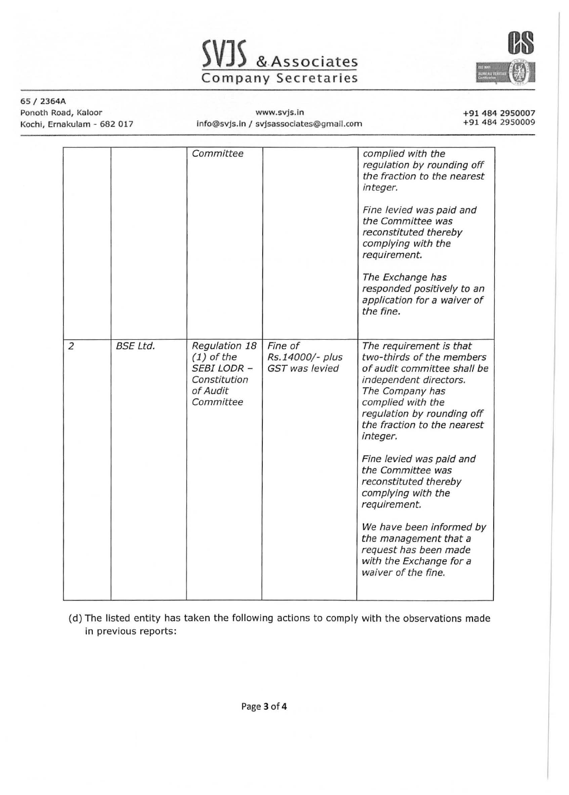



#### 65 I 2364A Ponoth Road, Kaloor

Kochi, Ernakulam - 682 017

www.svjs.in info@svjs.in / svjsassociates@gmail.com +91 484 2950007 +91 484 2950009

|                      | Committee                                                                                    |                                                     | complied with the<br>regulation by rounding off<br>the fraction to the nearest                                                                                                                                                                                                                                                                                                                      |
|----------------------|----------------------------------------------------------------------------------------------|-----------------------------------------------------|-----------------------------------------------------------------------------------------------------------------------------------------------------------------------------------------------------------------------------------------------------------------------------------------------------------------------------------------------------------------------------------------------------|
|                      |                                                                                              |                                                     | integer.<br>Fine levied was paid and<br>the Committee was<br>reconstituted thereby<br>complying with the<br>requirement.<br>The Exchange has<br>responded positively to an<br>application for a waiver of<br>the fine.                                                                                                                                                                              |
| <b>BSE Ltd.</b><br>2 | Regulation 18<br>$(1)$ of the<br><b>SEBI LODR -</b><br>Constitution<br>of Audit<br>Committee | Fine of<br>Rs.14000/- plus<br><b>GST</b> was levied | The requirement is that<br>two-thirds of the members<br>of audit committee shall be<br>independent directors.<br>The Company has<br>complied with the<br>regulation by rounding off<br>the fraction to the nearest<br>integer.<br>Fine levied was paid and<br>the Committee was<br>reconstituted thereby<br>complying with the<br>requirement.<br>We have been informed by<br>the management that a |

(d) The listed entity has taken the following actions to comply with the observations made in previous reports: